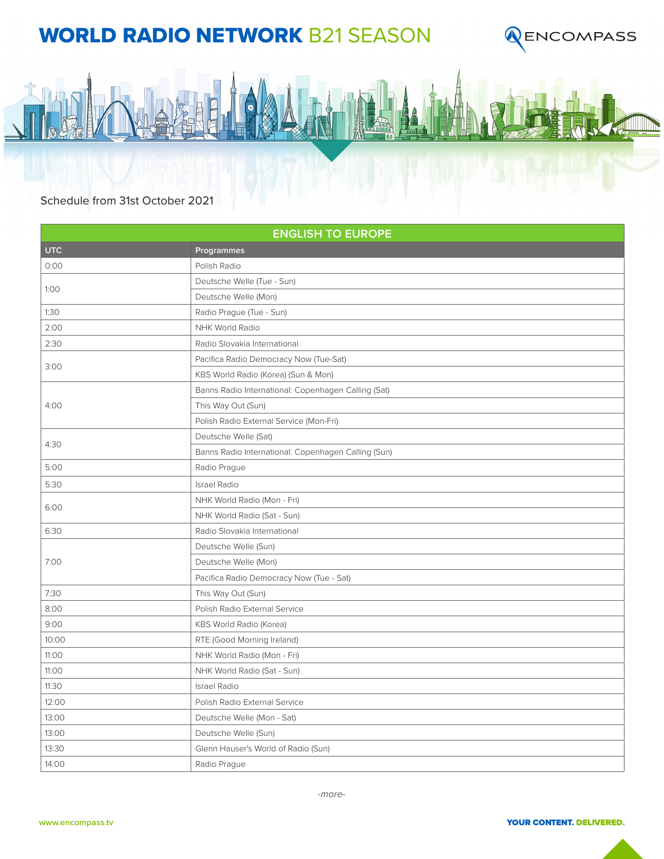## WORLD RADIO NETWORK B21 SEASON





## Schedule from 31st October 2021

| <b>ENGLISH TO EUROPE</b> |                                                     |  |
|--------------------------|-----------------------------------------------------|--|
| <b>UTC</b>               | Programmes                                          |  |
| 0:00                     | Polish Radio                                        |  |
| 1:00                     | Deutsche Welle (Tue - Sun)                          |  |
|                          | Deutsche Welle (Mon)                                |  |
| 1:30                     | Radio Prague (Tue - Sun)                            |  |
| 2:00                     | NHK World Radio                                     |  |
| 2:30                     | Radio Slovakia International                        |  |
| 3:00                     | Pacifica Radio Democracy Now (Tue-Sat)              |  |
|                          | KBS World Radio (Korea) (Sun & Mon)                 |  |
| 4:00                     | Banns Radio International: Copenhagen Calling (Sat) |  |
|                          | This Way Out (Sun)                                  |  |
|                          | Polish Radio External Service (Mon-Fri)             |  |
| 4:30                     | Deutsche Welle (Sat)                                |  |
|                          | Banns Radio International: Copenhagen Calling (Sun) |  |
| 5:00                     | Radio Prague                                        |  |
| 5:30                     | <b>Israel Radio</b>                                 |  |
| 6:00                     | NHK World Radio (Mon - Fri)                         |  |
|                          | NHK World Radio (Sat - Sun)                         |  |
| 6:30                     | Radio Slovakia International                        |  |
| 7:00                     | Deutsche Welle (Sun)                                |  |
|                          | Deutsche Welle (Mon)                                |  |
|                          | Pacifica Radio Democracy Now (Tue - Sat)            |  |
| 7:30                     | This Way Out (Sun)                                  |  |
| 8:00                     | Polish Radio External Service                       |  |
| 9:00                     | KBS World Radio (Korea)                             |  |
| 10:00                    | RTE (Good Morning Ireland)                          |  |
| 11:00                    | NHK World Radio (Mon - Fri)                         |  |
| 11:00                    | NHK World Radio (Sat - Sun)                         |  |
| 11:30                    | <b>Israel Radio</b>                                 |  |
| 12:00                    | Polish Radio External Service                       |  |
| 13:00                    | Deutsche Welle (Mon - Sat)                          |  |
| 13:00                    | Deutsche Welle (Sun)                                |  |
| 13:30                    | Glenn Hauser's World of Radio (Sun)                 |  |
| 14:00                    | Radio Prague                                        |  |